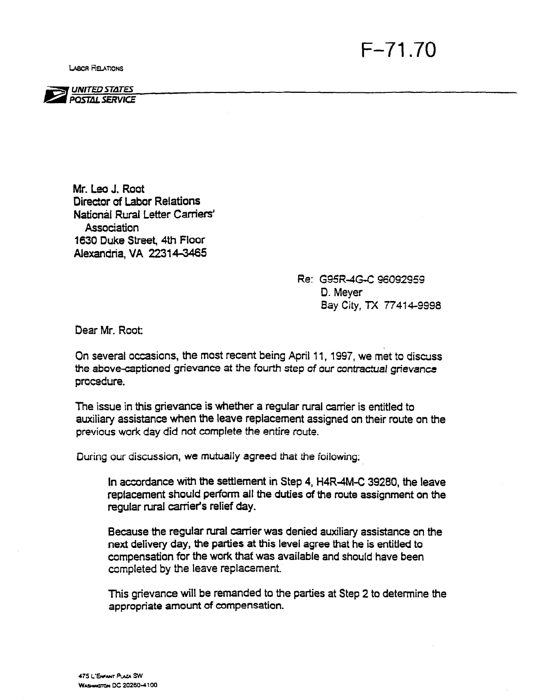**LABOR RELATIONS** 





Mr. Lea J. Root Director of Labor Relations National Rural Letter Carriers' **Association** 1630 Duke Street, 4th Floor Alexandria, VA 22314-3465

> Re: G95R-4G-C 96092959 D. Meyer Bay City, TX 77414-9998

Dear Mr. Root:

On several occasions, the most recant being April 11, 1997, we met to discuss the above-captioned grievance at the fourth step of our contractual grievance procedure.

The issue in this grievance is whether a regular rural carrier is entitled to auxiliary assistance when the leave replacement assigned on their route on the previous work day did not complete the entire route.

During our discussion, we mutually agreed that the foilowing:

In accordance with the settlement in Step 4, H4R-4M-C 39280, the leave replacement should perform all the duties of the route assignment on the regular rural carrier's relief day.

Because the regular rural carrier was denied auxiliary assistance on the next delivery day, the parties at this level agree that he is entitled to compensation for the work that was available and should have been completed by the leave replacement.

This grievance will be remanded to the parties at Step 2 to determine the appropriate amount of compensation.